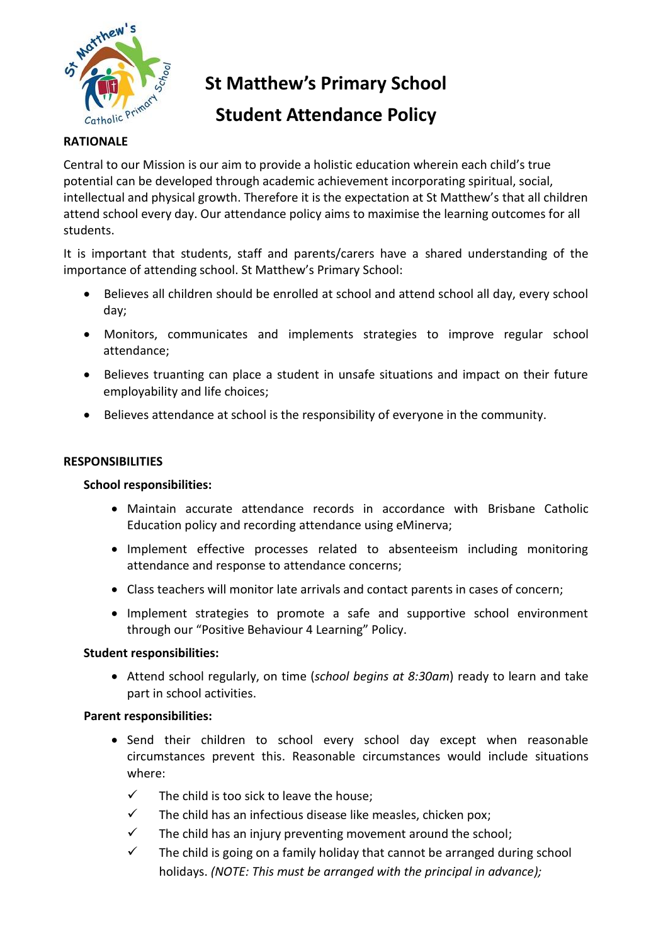

**St Matthew's Primary School**

# **Student Attendance Policy**

### **RATIONALE**

Central to our Mission is our aim to provide a holistic education wherein each child's true potential can be developed through academic achievement incorporating spiritual, social, intellectual and physical growth. Therefore it is the expectation at St Matthew's that all children attend school every day. Our attendance policy aims to maximise the learning outcomes for all students.

It is important that students, staff and parents/carers have a shared understanding of the importance of attending school. St Matthew's Primary School:

- Believes all children should be enrolled at school and attend school all day, every school day;
- Monitors, communicates and implements strategies to improve regular school attendance;
- Believes truanting can place a student in unsafe situations and impact on their future employability and life choices;
- Believes attendance at school is the responsibility of everyone in the community.

#### **RESPONSIBILITIES**

#### **School responsibilities:**

- Maintain accurate attendance records in accordance with Brisbane Catholic Education policy and recording attendance using eMinerva;
- Implement effective processes related to absenteeism including monitoring attendance and response to attendance concerns;
- Class teachers will monitor late arrivals and contact parents in cases of concern;
- Implement strategies to promote a safe and supportive school environment through our "Positive Behaviour 4 Learning" Policy.

#### **Student responsibilities:**

 Attend school regularly, on time (*school begins at 8:30am*) ready to learn and take part in school activities.

#### **Parent responsibilities:**

- Send their children to school every school day except when reasonable circumstances prevent this. Reasonable circumstances would include situations where:
	- $\checkmark$  The child is too sick to leave the house:
	- $\checkmark$  The child has an infectious disease like measles, chicken pox;
	- $\checkmark$  The child has an injury preventing movement around the school;
	- $\checkmark$  The child is going on a family holiday that cannot be arranged during school holidays. *(NOTE: This must be arranged with the principal in advance);*